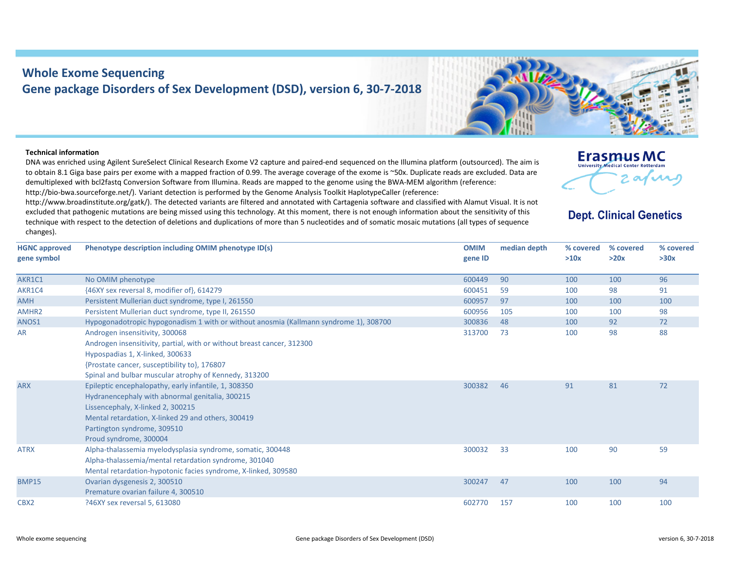## **Whole Exome Sequencing Gene package Disorders of Sex Development (DSD), version 6, 30‐7‐2018**



## **Technical information**

DNA was enriched using Agilent SureSelect Clinical Research Exome V2 capture and paired‐end sequenced on the Illumina platform (outsourced). The aim is to obtain 8.1 Giga base pairs per exome with <sup>a</sup> mapped fraction of 0.99. The average coverage of the exome is ~50x. Duplicate reads are excluded. Data are demultiplexed with bcl2fastq Conversion Software from Illumina. Reads are mapped to the genome using the BWA‐MEM algorithm (reference: http://bio-bwa.sourceforge.net/). Variant detection is performed by the Genome Analysis Toolkit HaplotypeCaller (reference:

http://www.broadinstitute.org/gatk/). The detected variants are filtered and annotated with Cartagenia software and classified with Alamut Visual. It is not excluded that pathogenic mutations are being missed using this technology. At this moment, there is not enough information about the sensitivity of this technique with respect to the detection of deletions and duplications of more than 5 nucleotides and of somatic mosaic mutations (all types of sequence changes).



## **Dept. Clinical Genetics**

| <b>HGNC approved</b><br>gene symbol | Phenotype description including OMIM phenotype ID(s)                                                                                                                                                                                                        | <b>OMIM</b><br>gene ID | median depth | % covered<br>>10x | % covered<br>>20x | % covered<br>>30x |
|-------------------------------------|-------------------------------------------------------------------------------------------------------------------------------------------------------------------------------------------------------------------------------------------------------------|------------------------|--------------|-------------------|-------------------|-------------------|
| AKR1C1                              | No OMIM phenotype                                                                                                                                                                                                                                           | 600449                 | 90           | 100               | 100               | 96                |
| AKR1C4                              | {46XY sex reversal 8, modifier of}, 614279                                                                                                                                                                                                                  | 600451                 | 59           | 100               | 98                | 91                |
| <b>AMH</b>                          | Persistent Mullerian duct syndrome, type I, 261550                                                                                                                                                                                                          | 600957                 | 97           | 100               | 100               | 100               |
| AMHR <sub>2</sub>                   | Persistent Mullerian duct syndrome, type II, 261550                                                                                                                                                                                                         | 600956                 | 105          | 100               | 100               | 98                |
| ANOS1                               | Hypogonadotropic hypogonadism 1 with or without anosmia (Kallmann syndrome 1), 308700                                                                                                                                                                       | 300836                 | 48           | 100               | 92                | 72                |
| <b>AR</b>                           | Androgen insensitivity, 300068<br>Androgen insensitivity, partial, with or without breast cancer, 312300<br>Hypospadias 1, X-linked, 300633<br>{Prostate cancer, susceptibility to}, 176807<br>Spinal and bulbar muscular atrophy of Kennedy, 313200        | 313700                 | 73           | 100               | 98                | 88                |
| <b>ARX</b>                          | Epileptic encephalopathy, early infantile, 1, 308350<br>Hydranencephaly with abnormal genitalia, 300215<br>Lissencephaly, X-linked 2, 300215<br>Mental retardation, X-linked 29 and others, 300419<br>Partington syndrome, 309510<br>Proud syndrome, 300004 | 300382                 | 46           | 91                | 81                | 72                |
| <b>ATRX</b>                         | Alpha-thalassemia myelodysplasia syndrome, somatic, 300448<br>Alpha-thalassemia/mental retardation syndrome, 301040<br>Mental retardation-hypotonic facies syndrome, X-linked, 309580                                                                       | 300032                 | 33           | 100               | 90                | 59                |
| <b>BMP15</b>                        | Ovarian dysgenesis 2, 300510<br>Premature ovarian failure 4, 300510                                                                                                                                                                                         | 300247                 | 47           | 100               | 100               | 94                |
| CBX <sub>2</sub>                    | ?46XY sex reversal 5, 613080                                                                                                                                                                                                                                | 602770                 | 157          | 100               | 100               | 100               |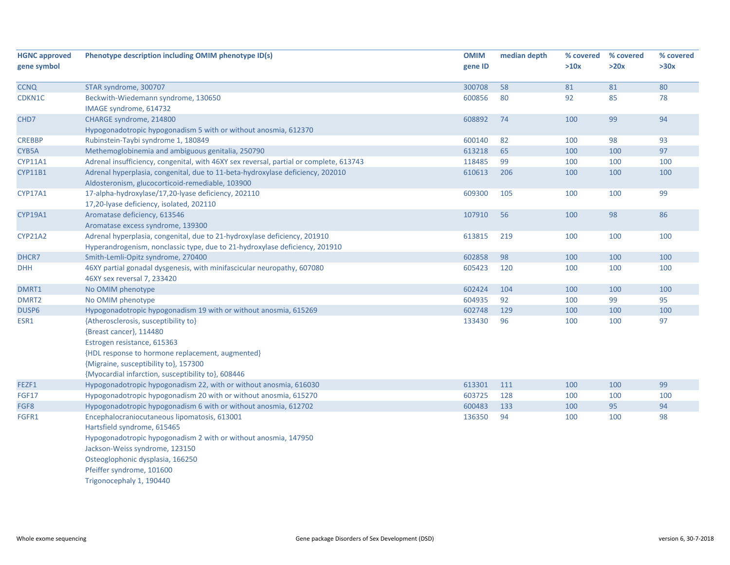| <b>HGNC approved</b> | Phenotype description including OMIM phenotype ID(s)                                   | <b>OMIM</b> | median depth | % covered | % covered | % covered |
|----------------------|----------------------------------------------------------------------------------------|-------------|--------------|-----------|-----------|-----------|
| gene symbol          |                                                                                        | gene ID     |              | >10x      | >20x      | >30x      |
|                      |                                                                                        |             |              |           |           |           |
| <b>CCNQ</b>          | STAR syndrome, 300707                                                                  | 300708      | 58           | 81        | 81        | 80        |
| CDKN1C               | Beckwith-Wiedemann syndrome, 130650                                                    | 600856      | 80           | 92        | 85        | 78        |
|                      | IMAGE syndrome, 614732                                                                 |             |              |           |           |           |
| CHD7                 | CHARGE syndrome, 214800                                                                | 608892      | 74           | 100       | 99        | 94        |
|                      | Hypogonadotropic hypogonadism 5 with or without anosmia, 612370                        |             |              |           |           |           |
| <b>CREBBP</b>        | Rubinstein-Taybi syndrome 1, 180849                                                    | 600140      | 82           | 100       | 98        | 93        |
| CYB5A                | Methemoglobinemia and ambiguous genitalia, 250790                                      | 613218      | 65           | 100       | 100       | 97        |
| CYP11A1              | Adrenal insufficiency, congenital, with 46XY sex reversal, partial or complete, 613743 | 118485      | 99           | 100       | 100       | 100       |
| <b>CYP11B1</b>       | Adrenal hyperplasia, congenital, due to 11-beta-hydroxylase deficiency, 202010         | 610613      | 206          | 100       | 100       | 100       |
|                      | Aldosteronism, glucocorticoid-remediable, 103900                                       |             |              |           |           |           |
| CYP17A1              | 17-alpha-hydroxylase/17,20-lyase deficiency, 202110                                    | 609300      | 105          | 100       | 100       | 99        |
|                      | 17,20-lyase deficiency, isolated, 202110                                               |             |              |           |           |           |
| CYP19A1              | Aromatase deficiency, 613546                                                           | 107910      | 56           | 100       | 98        | 86        |
|                      | Aromatase excess syndrome, 139300                                                      |             |              |           |           |           |
| <b>CYP21A2</b>       | Adrenal hyperplasia, congenital, due to 21-hydroxylase deficiency, 201910              | 613815      | 219          | 100       | 100       | 100       |
|                      | Hyperandrogenism, nonclassic type, due to 21-hydroxylase deficiency, 201910            |             |              |           |           |           |
| DHCR7                | Smith-Lemli-Opitz syndrome, 270400                                                     | 602858      | 98           | 100       | 100       | 100       |
| <b>DHH</b>           | 46XY partial gonadal dysgenesis, with minifascicular neuropathy, 607080                | 605423      | 120          | 100       | 100       | 100       |
|                      | 46XY sex reversal 7, 233420                                                            |             |              |           |           |           |
| DMRT1                | No OMIM phenotype                                                                      | 602424      | 104          | 100       | 100       | 100       |
| DMRT <sub>2</sub>    | No OMIM phenotype                                                                      | 604935      | 92           | 100       | 99        | 95        |
| DUSP6                | Hypogonadotropic hypogonadism 19 with or without anosmia, 615269                       | 602748      | 129          | 100       | 100       | 100       |
| ESR1                 | {Atherosclerosis, susceptibility to}                                                   | 133430      | 96           | 100       | 100       | 97        |
|                      | {Breast cancer}, 114480                                                                |             |              |           |           |           |
|                      | Estrogen resistance, 615363                                                            |             |              |           |           |           |
|                      | {HDL response to hormone replacement, augmented}                                       |             |              |           |           |           |
|                      | {Migraine, susceptibility to}, 157300                                                  |             |              |           |           |           |
|                      | {Myocardial infarction, susceptibility to}, 608446                                     |             |              |           |           |           |
| FEZF1                | Hypogonadotropic hypogonadism 22, with or without anosmia, 616030                      | 613301      | 111          | 100       | 100       | 99        |
| <b>FGF17</b>         | Hypogonadotropic hypogonadism 20 with or without anosmia, 615270                       | 603725      | 128          | 100       | 100       | 100       |
| FGF8                 | Hypogonadotropic hypogonadism 6 with or without anosmia, 612702                        | 600483      | 133          | 100       | 95        | 94        |
| FGFR1                | Encephalocraniocutaneous lipomatosis, 613001                                           | 136350      | 94           | 100       | 100       | 98        |
|                      | Hartsfield syndrome, 615465                                                            |             |              |           |           |           |
|                      | Hypogonadotropic hypogonadism 2 with or without anosmia, 147950                        |             |              |           |           |           |
|                      | Jackson-Weiss syndrome, 123150                                                         |             |              |           |           |           |
|                      | Osteoglophonic dysplasia, 166250                                                       |             |              |           |           |           |
|                      | Pfeiffer syndrome, 101600                                                              |             |              |           |           |           |
|                      | Trigonocephaly 1, 190440                                                               |             |              |           |           |           |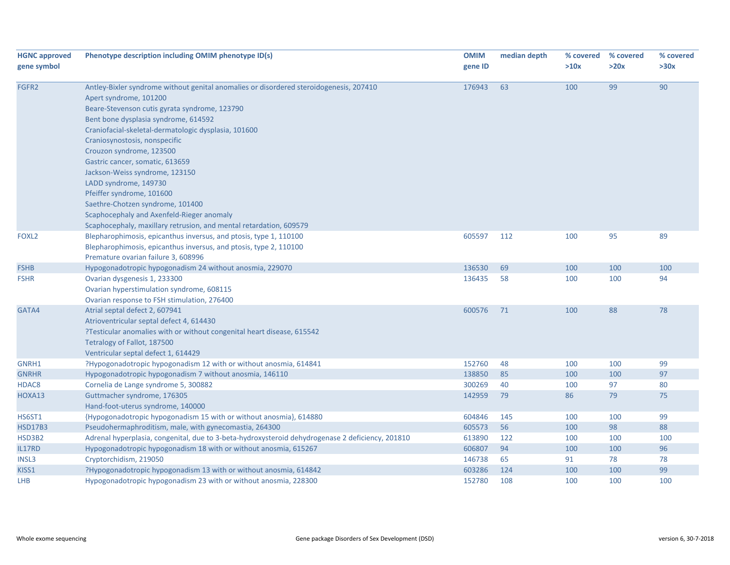| <b>HGNC approved</b> | Phenotype description including OMIM phenotype ID(s)                                             | <b>OMIM</b> | median depth | % covered | % covered | % covered |
|----------------------|--------------------------------------------------------------------------------------------------|-------------|--------------|-----------|-----------|-----------|
| gene symbol          |                                                                                                  | gene ID     |              | >10x      | >20x      | >30x      |
|                      |                                                                                                  |             |              |           |           |           |
| FGFR2                | Antley-Bixler syndrome without genital anomalies or disordered steroidogenesis, 207410           | 176943      | 63           | 100       | 99        | 90        |
|                      | Apert syndrome, 101200                                                                           |             |              |           |           |           |
|                      | Beare-Stevenson cutis gyrata syndrome, 123790                                                    |             |              |           |           |           |
|                      | Bent bone dysplasia syndrome, 614592                                                             |             |              |           |           |           |
|                      | Craniofacial-skeletal-dermatologic dysplasia, 101600                                             |             |              |           |           |           |
|                      | Craniosynostosis, nonspecific                                                                    |             |              |           |           |           |
|                      | Crouzon syndrome, 123500                                                                         |             |              |           |           |           |
|                      | Gastric cancer, somatic, 613659                                                                  |             |              |           |           |           |
|                      | Jackson-Weiss syndrome, 123150                                                                   |             |              |           |           |           |
|                      | LADD syndrome, 149730                                                                            |             |              |           |           |           |
|                      | Pfeiffer syndrome, 101600                                                                        |             |              |           |           |           |
|                      | Saethre-Chotzen syndrome, 101400                                                                 |             |              |           |           |           |
|                      | Scaphocephaly and Axenfeld-Rieger anomaly                                                        |             |              |           |           |           |
|                      | Scaphocephaly, maxillary retrusion, and mental retardation, 609579                               |             |              |           |           |           |
| FOXL <sub>2</sub>    | Blepharophimosis, epicanthus inversus, and ptosis, type 1, 110100                                | 605597      | 112          | 100       | 95        | 89        |
|                      | Blepharophimosis, epicanthus inversus, and ptosis, type 2, 110100                                |             |              |           |           |           |
|                      | Premature ovarian failure 3, 608996                                                              |             |              |           |           |           |
| <b>FSHB</b>          | Hypogonadotropic hypogonadism 24 without anosmia, 229070                                         | 136530      | 69           | 100       | 100       | 100       |
| <b>FSHR</b>          | Ovarian dysgenesis 1, 233300                                                                     | 136435      | 58           | 100       | 100       | 94        |
|                      | Ovarian hyperstimulation syndrome, 608115                                                        |             |              |           |           |           |
|                      | Ovarian response to FSH stimulation, 276400                                                      |             |              |           |           |           |
| GATA4                | Atrial septal defect 2, 607941                                                                   | 600576      | 71           | 100       | 88        | 78        |
|                      | Atrioventricular septal defect 4, 614430                                                         |             |              |           |           |           |
|                      | ?Testicular anomalies with or without congenital heart disease, 615542                           |             |              |           |           |           |
|                      | Tetralogy of Fallot, 187500                                                                      |             |              |           |           |           |
|                      | Ventricular septal defect 1, 614429                                                              |             |              |           |           |           |
| GNRH1                | ?Hypogonadotropic hypogonadism 12 with or without anosmia, 614841                                | 152760      | 48           | 100       | 100       | 99        |
| <b>GNRHR</b>         | Hypogonadotropic hypogonadism 7 without anosmia, 146110                                          | 138850      | 85           | 100       | 100       | 97        |
| HDAC8                | Cornelia de Lange syndrome 5, 300882                                                             | 300269      | 40           | 100       | 97        | 80        |
| HOXA13               | Guttmacher syndrome, 176305                                                                      | 142959      | 79           | 86        | 79        | 75        |
|                      | Hand-foot-uterus syndrome, 140000                                                                |             |              |           |           |           |
| HS6ST1               | {Hypogonadotropic hypogonadism 15 with or without anosmia}, 614880                               | 604846      | 145          | 100       | 100       | 99        |
| <b>HSD17B3</b>       | Pseudohermaphroditism, male, with gynecomastia, 264300                                           | 605573      | 56           | 100       | 98        | 88        |
| HSD3B2               | Adrenal hyperplasia, congenital, due to 3-beta-hydroxysteroid dehydrogenase 2 deficiency, 201810 | 613890      | 122          | 100       | 100       | 100       |
| IL17RD               | Hypogonadotropic hypogonadism 18 with or without anosmia, 615267                                 | 606807      | 94           | 100       | 100       | 96        |
| INSL3                | Cryptorchidism, 219050                                                                           | 146738      | 65           | 91        | 78        | 78        |
| KISS1                | ?Hypogonadotropic hypogonadism 13 with or without anosmia, 614842                                | 603286      | 124          | 100       | 100       | 99        |
| <b>LHB</b>           | Hypogonadotropic hypogonadism 23 with or without anosmia, 228300                                 | 152780      | 108          | 100       | 100       | 100       |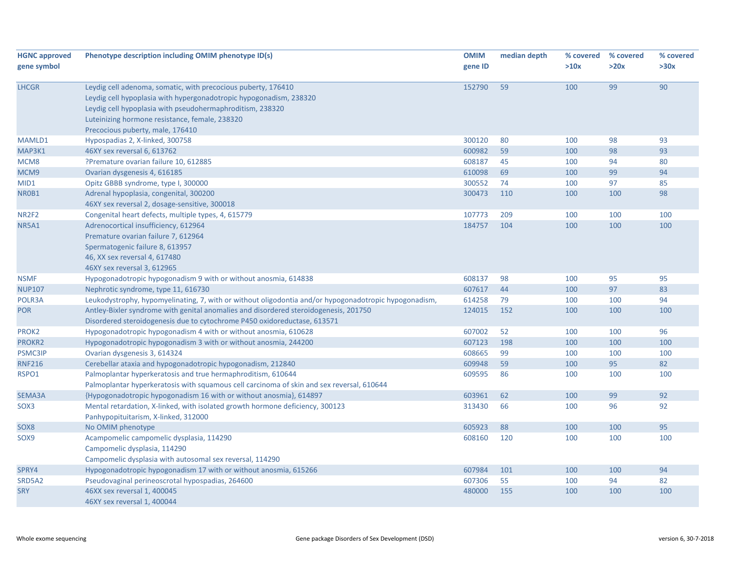| <b>HGNC approved</b> | Phenotype description including OMIM phenotype ID(s)                                                  | <b>OMIM</b> | median depth | % covered | % covered | % covered |
|----------------------|-------------------------------------------------------------------------------------------------------|-------------|--------------|-----------|-----------|-----------|
| gene symbol          |                                                                                                       | gene ID     |              | >10x      | >20x      | >30x      |
|                      |                                                                                                       |             |              |           |           |           |
| <b>LHCGR</b>         | Leydig cell adenoma, somatic, with precocious puberty, 176410                                         | 152790      | 59           | 100       | 99        | 90        |
|                      | Leydig cell hypoplasia with hypergonadotropic hypogonadism, 238320                                    |             |              |           |           |           |
|                      | Leydig cell hypoplasia with pseudohermaphroditism, 238320                                             |             |              |           |           |           |
|                      | Luteinizing hormone resistance, female, 238320                                                        |             |              |           |           |           |
|                      | Precocious puberty, male, 176410                                                                      |             |              |           |           |           |
| MAMLD1               | Hypospadias 2, X-linked, 300758                                                                       | 300120      | 80           | 100       | 98        | 93        |
| MAP3K1               | 46XY sex reversal 6, 613762                                                                           | 600982      | 59           | 100       | 98        | 93        |
| MCM8                 | ?Premature ovarian failure 10, 612885                                                                 | 608187      | 45           | 100       | 94        | 80        |
| MCM9                 | Ovarian dysgenesis 4, 616185                                                                          | 610098      | 69           | 100       | 99        | 94        |
| MID1                 | Opitz GBBB syndrome, type I, 300000                                                                   | 300552      | 74           | 100       | 97        | 85        |
| NR0B1                | Adrenal hypoplasia, congenital, 300200                                                                | 300473      | 110          | 100       | 100       | 98        |
|                      | 46XY sex reversal 2, dosage-sensitive, 300018                                                         |             |              |           |           |           |
| NR2F2                | Congenital heart defects, multiple types, 4, 615779                                                   | 107773      | 209          | 100       | 100       | 100       |
| NR5A1                | Adrenocortical insufficiency, 612964                                                                  | 184757      | 104          | 100       | 100       | 100       |
|                      | Premature ovarian failure 7, 612964                                                                   |             |              |           |           |           |
|                      | Spermatogenic failure 8, 613957                                                                       |             |              |           |           |           |
|                      | 46, XX sex reversal 4, 617480                                                                         |             |              |           |           |           |
|                      | 46XY sex reversal 3, 612965                                                                           |             |              |           |           |           |
| <b>NSMF</b>          | Hypogonadotropic hypogonadism 9 with or without anosmia, 614838                                       | 608137      | 98           | 100       | 95        | 95        |
| <b>NUP107</b>        | Nephrotic syndrome, type 11, 616730                                                                   | 607617      | 44           | 100       | 97        | 83        |
| POLR3A               | Leukodystrophy, hypomyelinating, 7, with or without oligodontia and/or hypogonadotropic hypogonadism, | 614258      | 79           | 100       | 100       | 94        |
| <b>POR</b>           | Antley-Bixler syndrome with genital anomalies and disordered steroidogenesis, 201750                  | 124015      | 152          | 100       | 100       | 100       |
|                      | Disordered steroidogenesis due to cytochrome P450 oxidoreductase, 613571                              |             |              |           |           |           |
| PROK2                | Hypogonadotropic hypogonadism 4 with or without anosmia, 610628                                       | 607002      | 52           | 100       | 100       | 96        |
| <b>PROKR2</b>        | Hypogonadotropic hypogonadism 3 with or without anosmia, 244200                                       | 607123      | 198          | 100       | 100       | 100       |
| <b>PSMC3IP</b>       | Ovarian dysgenesis 3, 614324                                                                          | 608665      | 99           | 100       | 100       | 100       |
| <b>RNF216</b>        | Cerebellar ataxia and hypogonadotropic hypogonadism, 212840                                           | 609948      | 59           | 100       | 95        | 82        |
| RSPO1                | Palmoplantar hyperkeratosis and true hermaphroditism, 610644                                          | 609595      | 86           | 100       | 100       | 100       |
|                      | Palmoplantar hyperkeratosis with squamous cell carcinoma of skin and sex reversal, 610644             |             |              |           |           |           |
| SEMA3A               | {Hypogonadotropic hypogonadism 16 with or without anosmia}, 614897                                    | 603961      | 62           | 100       | 99        | 92        |
| SOX3                 | Mental retardation, X-linked, with isolated growth hormone deficiency, 300123                         | 313430      | 66           | 100       | 96        | 92        |
|                      | Panhypopituitarism, X-linked, 312000                                                                  |             |              |           |           |           |
| SOX8                 | No OMIM phenotype                                                                                     | 605923      | 88           | 100       | 100       | 95        |
| SOX9                 | Acampomelic campomelic dysplasia, 114290                                                              | 608160      | 120          | 100       | 100       | 100       |
|                      | Campomelic dysplasia, 114290                                                                          |             |              |           |           |           |
|                      | Campomelic dysplasia with autosomal sex reversal, 114290                                              |             |              |           |           |           |
| SPRY4                | Hypogonadotropic hypogonadism 17 with or without anosmia, 615266                                      | 607984      | 101          | 100       | 100       | 94        |
| SRD5A2               | Pseudovaginal perineoscrotal hypospadias, 264600                                                      | 607306      | 55           | 100       | 94        | 82        |
| <b>SRY</b>           | 46XX sex reversal 1, 400045                                                                           | 480000      | 155          | 100       | 100       | 100       |
|                      | 46XY sex reversal 1, 400044                                                                           |             |              |           |           |           |